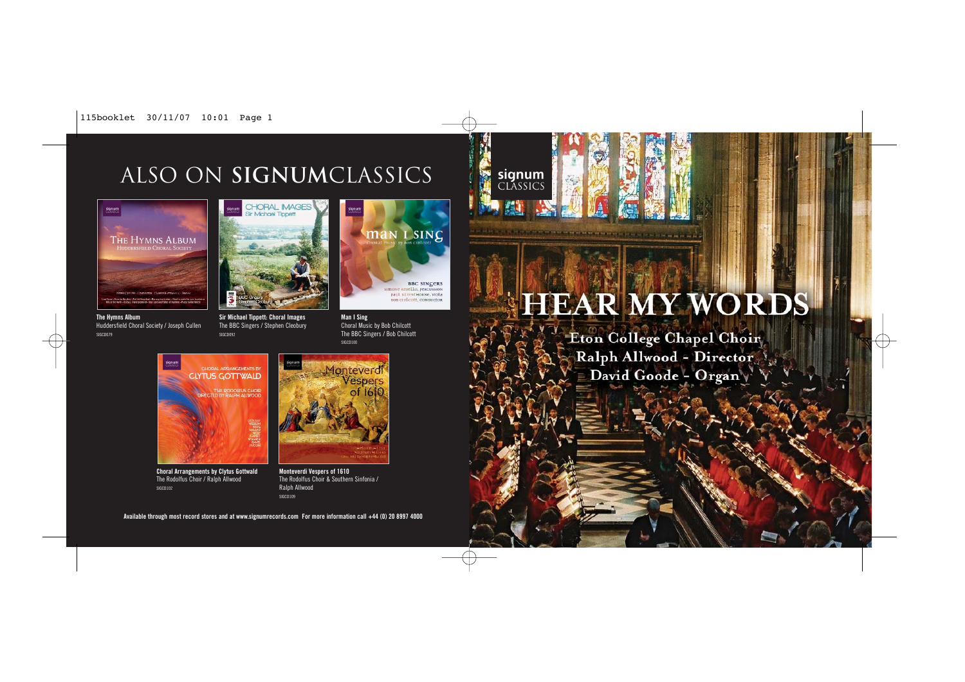## ALSO on **signum**classics



**CHORAL IMAGES** Sir Michael Timpet

**The Hymns Album** Huddersfield Choral Society / Joseph Cullen SIGCD079



**Sir Michael Tippett: Choral Images** The BBC Singers / Stephen Cleobury SIGCD092



**Man I Sing** Choral Music by Bob Chilcott The BBC Singers / Bob Chilcott SIGCD100



# HEAR MY WORDS

Eton College Chapel Choir Ralph Allwood - Director David Goode - Organy



**Choral Arrangements by Clytus Gottwald** The Rodolfus Choir / Ralph Allwood SIGCD102



**Monteverdi Vespers of 1610** The Rodolfus Choir & Southern Sinfonia / Ralph Allwood SIGCD109

**Available through most record stores and at www.signumrecords.com For more information call +44 (0) 20 8997 4000**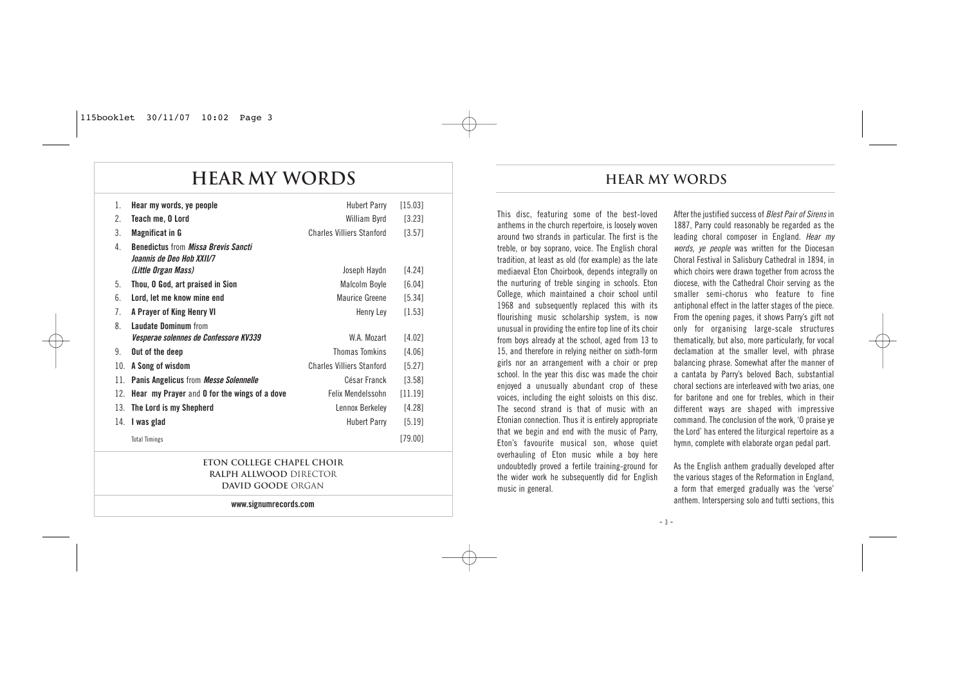## **HEAR my words**

| 1.  | Hear my words, ye people                                                                                     | <b>Hubert Parry</b>              | [15.03] |  |
|-----|--------------------------------------------------------------------------------------------------------------|----------------------------------|---------|--|
| 2.  | Teach me, O Lord                                                                                             | William Byrd                     | [3.23]  |  |
| 3.  | <b>Magnificat in G</b>                                                                                       | <b>Charles Villiers Stanford</b> | [3.57]  |  |
| 4.  | <b>Benedictus from Missa Brevis Sancti</b><br><i><b>Joannis de Deo Hob XXII/7</b></i><br>(Little Organ Mass) | Joseph Haydn                     | [4.24]  |  |
| 5.  | Thou, O God, art praised in Sion                                                                             | <b>Malcolm Boyle</b>             | [6.04]  |  |
| 6.  | Lord, let me know mine end                                                                                   | Maurice Greene                   | [5.34]  |  |
| 7.  | A Prayer of King Henry VI                                                                                    | Henry Ley                        | [1.53]  |  |
| 8   | <b>Laudate Dominum from</b>                                                                                  |                                  |         |  |
|     | <i>Vesperae solennes de Confessore KV339</i>                                                                 | W.A. Mozart                      | [4.02]  |  |
| 9.  | Out of the deep                                                                                              | <b>Thomas Tomkins</b>            | [4.06]  |  |
| 10. | A Song of wisdom                                                                                             | <b>Charles Villiers Stanford</b> | [5.27]  |  |
| 11. | Panis Angelicus from Messe Solennelle                                                                        | César Franck                     | [3.58]  |  |
| 12. | Hear my Prayer and 0 for the wings of a dove                                                                 | Felix Mendelssohn                | [11.19] |  |
| 13. | The Lord is my Shepherd                                                                                      | Lennox Berkeley                  | [4.28]  |  |
| 14. | I was glad                                                                                                   | <b>Hubert Parry</b>              | [5.19]  |  |
|     | <b>Total Timings</b>                                                                                         |                                  | [79.00] |  |

#### **ETON COLLEGE CHAPEL CHOIR RALPH ALLWOOD** DIRECTOR **DAVID GOODE** ORGAN

**www.signumrecords.com**

### **Hear my words**

This disc, featuring some of the best-loved anthems in the church repertoire, is loosely woven around two strands in particular. The first is the treble, or boy soprano, voice. The English choral tradition, at least as old (for example) as the late mediaeval Eton Choirbook, depends integrally on the nurturing of treble singing in schools. Eton College, which maintained a choir school until 1968 and subsequently replaced this with its flourishing music scholarship system, is now unusual in providing the entire top line of its choir from boys already at the school, aged from 13 to 15, and therefore in relying neither on sixth-form girls nor an arrangement with a choir or prep school. In the year this disc was made the choir enjoyed a unusually abundant crop of these voices, including the eight soloists on this disc. The second strand is that of music with an Etonian connection. Thus it is entirely appropriate that we begin and end with the music of Parry, Eton's favourite musical son, whose quiet overhauling of Eton music while a boy here undoubtedly proved a fertile training-ground for the wider work he subsequently did for English music in general.

After the justified success of Blest Pair of Sirens in 1887, Parry could reasonably be regarded as the leading choral composer in England. Hear my words, ye people was written for the Diocesan Choral Festival in Salisbury Cathedral in 1894, in which choirs were drawn together from across the diocese, with the Cathedral Choir serving as the smaller semi-chorus who feature to fine antiphonal effect in the latter stages of the piece. From the opening pages, it shows Parry's gift not only for organising large-scale structures thematically, but also, more particularly, for vocal declamation at the smaller level, with phrase balancing phrase. Somewhat after the manner of a cantata by Parry's beloved Bach, substantial choral sections are interleaved with two arias, one for baritone and one for trebles, which in their different ways are shaped with impressive command. The conclusion of the work, 'O praise ye the Lord' has entered the liturgical repertoire as a hymn, complete with elaborate organ pedal part.

As the English anthem gradually developed after the various stages of the Reformation in England, a form that emerged gradually was the 'verse' anthem. Interspersing solo and tutti sections, this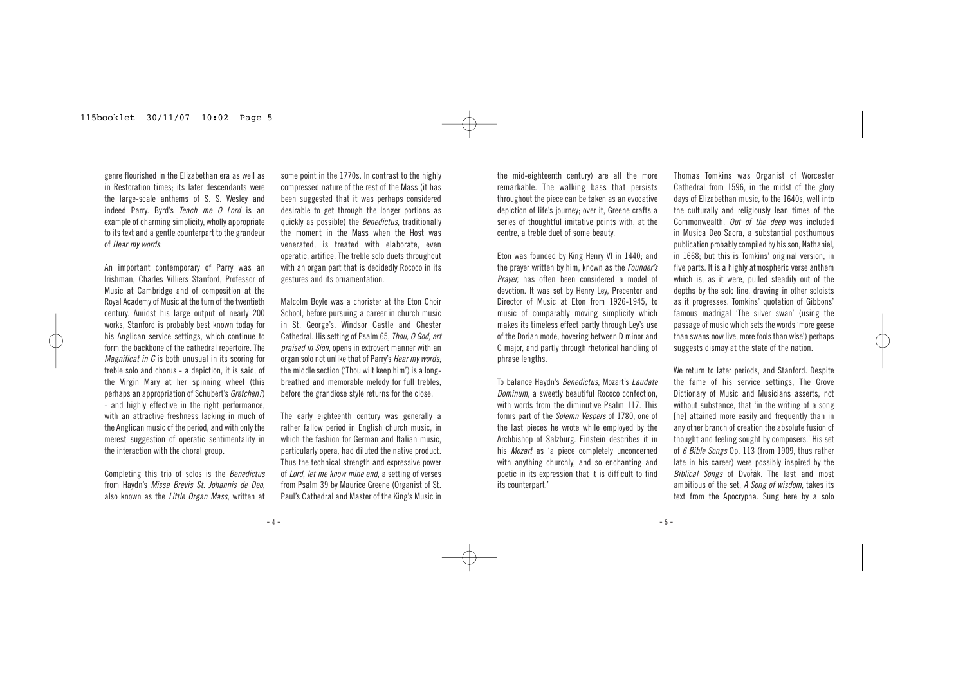genre flourished in the Elizabethan era as well as in Restoration times; its later descendants were the large-scale anthems of S. S. Wesley and indeed Parry. Byrd's Teach me O Lord is an example of charming simplicity, wholly appropriate to its text and a gentle counterpart to the grandeur of Hear my words.

An important contemporary of Parry was an Irishman, Charles Villiers Stanford, Professor of Music at Cambridge and of composition at the Royal Academy of Music at the turn of the twentieth century. Amidst his large output of nearly 200 works, Stanford is probably best known today for his Anglican service settings, which continue to form the backbone of the cathedral repertoire. The Magnificat in G is both unusual in its scoring for treble solo and chorus - a depiction, it is said, of the Virgin Mary at her spinning wheel (this perhaps an appropriation of Schubert's Gretchen?) - and highly effective in the right performance, with an attractive freshness lacking in much of the Anglican music of the period, and with only the merest suggestion of operatic sentimentality in the interaction with the choral group.

Completing this trio of solos is the Benedictus from Haydn's Missa Brevis St. Johannis de Deo, also known as the Little Organ Mass, written at

some point in the 1770s. In contrast to the highly compressed nature of the rest of the Mass (it has been suggested that it was perhaps considered desirable to get through the longer portions as quickly as possible) the *Benedictus*, traditionally the moment in the Mass when the Host was venerated, is treated with elaborate, even operatic, artifice. The treble solo duets throughout with an organ part that is decidedly Rococo in its gestures and its ornamentation.

Malcolm Boyle was a chorister at the Eton Choir School, before pursuing a career in church music in St. George's, Windsor Castle and Chester Cathedral. His setting of Psalm 65, Thou, O God, art praised in Sion, opens in extrovert manner with an organ solo not unlike that of Parry's Hear my words; the middle section ('Thou wilt keep him') is a longbreathed and memorable melody for full trebles, before the grandiose style returns for the close.

The early eighteenth century was generally a rather fallow period in English church music, in which the fashion for German and Italian music. particularly opera, had diluted the native product. Thus the technical strength and expressive power of Lord, let me know mine end, a setting of verses from Psalm 39 by Maurice Greene (Organist of St. Paul's Cathedral and Master of the King's Music in the mid-eighteenth century) are all the more remarkable. The walking bass that persists throughout the piece can be taken as an evocative depiction of life's journey; over it, Greene crafts a series of thoughtful imitative points with, at the centre, a treble duet of some beauty.

Eton was founded by King Henry VI in 1440; and the prayer written by him, known as the *Founder's* Prayer, has often been considered a model of devotion. It was set by Henry Ley, Precentor and Director of Music at Eton from 1926-1945, to music of comparably moving simplicity which makes its timeless effect partly through Ley's use of the Dorian mode, hovering between D minor and C major, and partly through rhetorical handling of phrase lengths.

To balance Haydn's Benedictus, Mozart's Laudate Dominum, a sweetly beautiful Rococo confection, with words from the diminutive Psalm 117. This forms part of the Solemn Vespers of 1780, one of the last pieces he wrote while employed by the Archbishop of Salzburg. Einstein describes it in his Mozart as 'a piece completely unconcerned with anything churchly, and so enchanting and poetic in its expression that it is difficult to find its counterpart.'

Thomas Tomkins was Organist of Worcester Cathedral from 1596, in the midst of the glory days of Elizabethan music, to the 1640s, well into the culturally and religiously lean times of the Commonwealth. Out of the deep was included in Musica Deo Sacra, a substantial posthumous publication probably compiled by his son, Nathaniel, in 1668; but this is Tomkins' original version, in five parts. It is a highly atmospheric verse anthem which is, as it were, pulled steadily out of the depths by the solo line, drawing in other soloists as it progresses. Tomkins' quotation of Gibbons' famous madrigal 'The silver swan' (using the passage of music which sets the words 'more geese than swans now live, more fools than wise') perhaps suggests dismay at the state of the nation.

We return to later periods, and Stanford. Despite the fame of his service settings, The Grove Dictionary of Music and Musicians asserts, not without substance, that 'in the writing of a song [he] attained more easily and frequently than in any other branch of creation the absolute fusion of thought and feeling sought by composers.' His set of 6 Bible Songs Op. 113 (from 1909, thus rather late in his career) were possibly inspired by the Biblical Songs of Dvorák. The last and most ambitious of the set, A Song of wisdom, takes its text from the Apocrypha. Sung here by a solo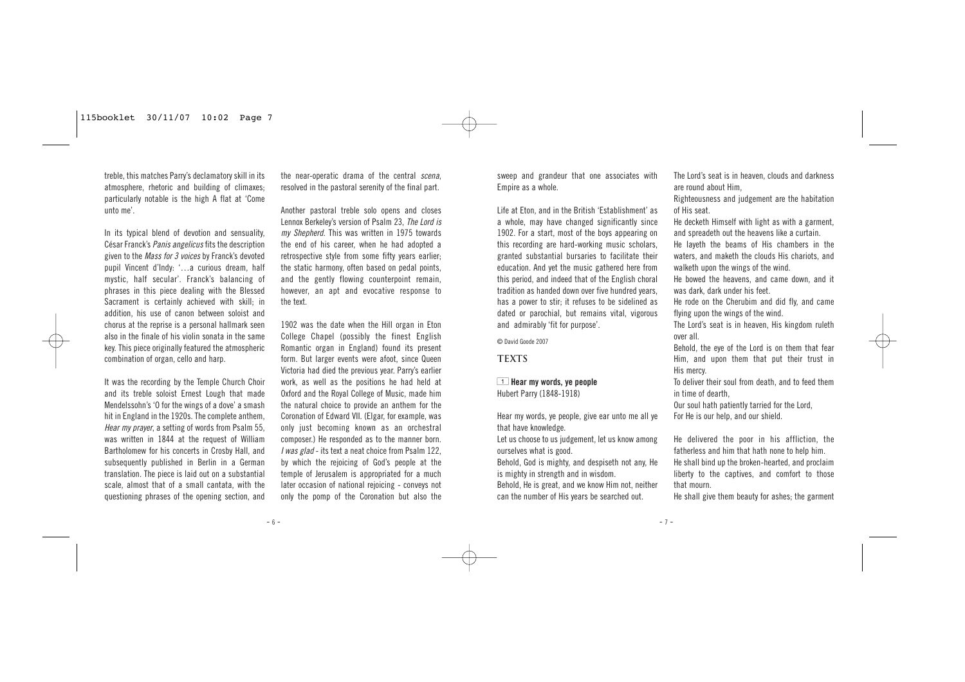treble, this matches Parry's declamatory skill in its atmosphere, rhetoric and building of climaxes; particularly notable is the high A flat at 'Come unto me'.

In its typical blend of devotion and sensuality, César Franck's Panis angelicus fits the description given to the Mass for 3 voices by Franck's devoted pupil Vincent d'Indy: '…a curious dream, half mystic, half secular'. Franck's balancing of phrases in this piece dealing with the Blessed Sacrament is certainly achieved with skill; in addition, his use of canon between soloist and chorus at the reprise is a personal hallmark seen also in the finale of his violin sonata in the same key. This piece originally featured the atmospheric combination of organ, cello and harp.

It was the recording by the Temple Church Choir and its treble soloist Ernest Lough that made Mendelssohn's 'O for the wings of a dove' a smash hit in England in the 1920s. The complete anthem, Hear my prayer, a setting of words from Psalm 55, was written in 1844 at the request of William Bartholomew for his concerts in Crosby Hall, and subsequently published in Berlin in a German translation. The piece is laid out on a substantial scale, almost that of a small cantata, with the questioning phrases of the opening section, and the near-operatic drama of the central scena, resolved in the pastoral serenity of the final part.

Another pastoral treble solo opens and closes Lennox Berkeley's version of Psalm 23, The Lord is my Shepherd. This was written in 1975 towards the end of his career, when he had adopted a retrospective style from some fifty years earlier; the static harmony, often based on pedal points, and the gently flowing counterpoint remain, however, an apt and evocative response to the text.

1902 was the date when the Hill organ in Eton College Chapel (possibly the finest English Romantic organ in England) found its present form. But larger events were afoot, since Queen Victoria had died the previous year. Parry's earlier work, as well as the positions he had held at Oxford and the Royal College of Music, made him the natural choice to provide an anthem for the Coronation of Edward VII. (Elgar, for example, was only just becoming known as an orchestral composer.) He responded as to the manner born. I was glad - its text a neat choice from Psalm 122, by which the rejoicing of God's people at the temple of Jerusalem is appropriated for a much later occasion of national rejoicing - conveys not only the pomp of the Coronation but also the sweep and grandeur that one associates with Empire as a whole.

Life at Eton, and in the British 'Establishment' as a whole, may have changed significantly since 1902. For a start, most of the boys appearing on this recording are hard-working music scholars, granted substantial bursaries to facilitate their education. And yet the music gathered here from this period, and indeed that of the English choral tradition as handed down over five hundred years, has a power to stir; it refuses to be sidelined as dated or parochial, but remains vital, vigorous and admirably 'fit for purpose'.

© David Goode 2007

#### **TEXTS**

1 **Hear my words, ye people** Hubert Parry (1848-1918)

Hear my words, ye people, give ear unto me all ye that have knowledge.

Let us choose to us judgement, let us know among ourselves what is good.

Behold, God is mighty, and despiseth not any, He is mighty in strength and in wisdom.

Behold, He is great, and we know Him not, neither can the number of His years be searched out.

The Lord's seat is in heaven, clouds and darkness are round about Him,

Righteousness and judgement are the habitation of His seat.

He decketh Himself with light as with a garment, and spreadeth out the heavens like a curtain.

He layeth the beams of His chambers in the waters, and maketh the clouds His chariots, and walketh upon the wings of the wind.

He bowed the heavens, and came down, and it was dark, dark under his feet.

He rode on the Cherubim and did fly, and came flying upon the wings of the wind.

The Lord's seat is in heaven, His kingdom ruleth over all.

Behold, the eye of the Lord is on them that fear Him, and upon them that put their trust in His mercy.

To deliver their soul from death, and to feed them in time of dearth,

Our soul hath patiently tarried for the Lord, For He is our help, and our shield.

He delivered the poor in his affliction, the fatherless and him that hath none to help him. He shall bind up the broken-hearted, and proclaim liberty to the captives, and comfort to those that mourn.

He shall give them beauty for ashes; the garment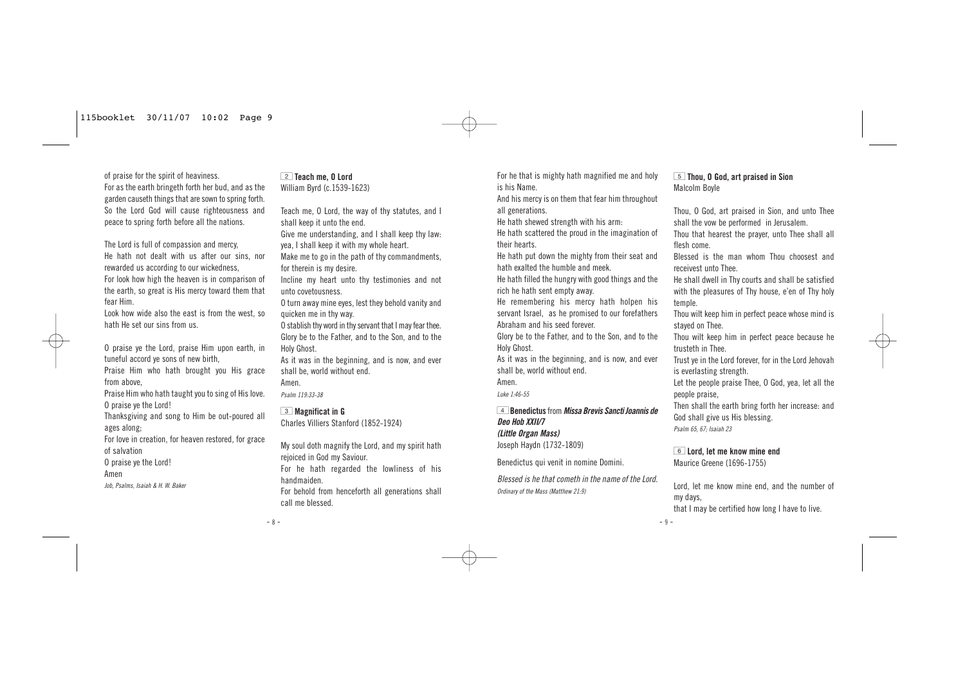of praise for the spirit of heaviness. For as the earth bringeth forth her bud, and as the garden causeth things that are sown to spring forth. So the Lord God will cause righteousness and peace to spring forth before all the nations.

The Lord is full of compassion and mercy, He hath not dealt with us after our sins, nor rewarded us according to our wickedness, For look how high the heaven is in comparison of the earth, so great is His mercy toward them that fear Him.

Look how wide also the east is from the west, so hath He set our sins from us.

O praise ye the Lord, praise Him upon earth, in tuneful accord ye sons of new birth,

Praise Him who hath brought you His grace from above,

Praise Him who hath taught you to sing of His love. O praise ye the Lord!

Thanksgiving and song to Him be out-poured all ages along;

For love in creation, for heaven restored, for grace of salvation

O praise ye the Lord!

Amen

Job, Psalms, Isaiah & H. W. Baker

#### 2 **Teach me, O Lord** William Byrd (c.1539-1623)

Teach me, O Lord, the way of thy statutes, and I shall keep it unto the end.

Give me understanding, and I shall keep thy law: yea, I shall keep it with my whole heart.

Make me to go in the path of thy commandments, for therein is my desire.

Incline my heart unto thy testimonies and not unto covetousness.

O turn away mine eyes, lest they behold vanity and quicken me in thy way.

O stablish thy word in thy servant that I may fear thee. Glory be to the Father, and to the Son, and to the Holy Ghost.

As it was in the beginning, and is now, and ever shall be, world without end.

Amen.

Psalm 119:33-38

#### 3 **Magnificat in G**

Charles Villiers Stanford (1852-1924)

My soul doth magnify the Lord, and my spirit hath rejoiced in God my Saviour. For he hath regarded the lowliness of his

handmaiden.

For behold from henceforth all generations shall call me blessed.

For he that is mighty hath magnified me and holy is his Name.

And his mercy is on them that fear him throughout all generations.

He hath shewed strength with his arm:

He hath scattered the proud in the imagination of their hearts.

He hath put down the mighty from their seat and hath exalted the humble and meek.

He hath filled the hungry with good things and the rich he hath sent empty away.

He remembering his mercy hath holpen his servant Israel, as he promised to our forefathers Abraham and his seed forever.

Glory be to the Father, and to the Son, and to the Holy Ghost.

As it was in the beginning, and is now, and ever shall be, world without end.

Amen.

Luke 1:46-55

4**Benedictus** from **Missa Brevis Sancti Joannis de Deo Hob XXII/7 (Little Organ Mass)** Joseph Haydn (1732-1809)

Benedictus qui venit in nomine Domini.

Blessed is he that cometh in the name of the Lord. Ordinary of the Mass (Matthew 21:9)

#### 5 **Thou, O God, art praised in Sion** Malcolm Boyle

Thou, O God, art praised in Sion, and unto Thee shall the vow be performed in Jerusalem.

Thou that hearest the prayer, unto Thee shall all flesh come.

Blessed is the man whom Thou choosest and receivest unto Thee.

He shall dwell in Thy courts and shall be satisfied with the pleasures of Thy house, e'en of Thy holy temple.

Thou wilt keep him in perfect peace whose mind is stayed on Thee.

Thou wilt keep him in perfect peace because he trusteth in Thee.

Trust ye in the Lord forever, for in the Lord Jehovah is everlasting strength.

Let the people praise Thee, O God, yea, let all the people praise,

Then shall the earth bring forth her increase: and God shall give us His blessing. Psalm 65, 67; Isaiah 23

#### 6 **Lord, let me know mine end**

Maurice Greene (1696-1755)

Lord, let me know mine end, and the number of my days,

that I may be certified how long I have to live.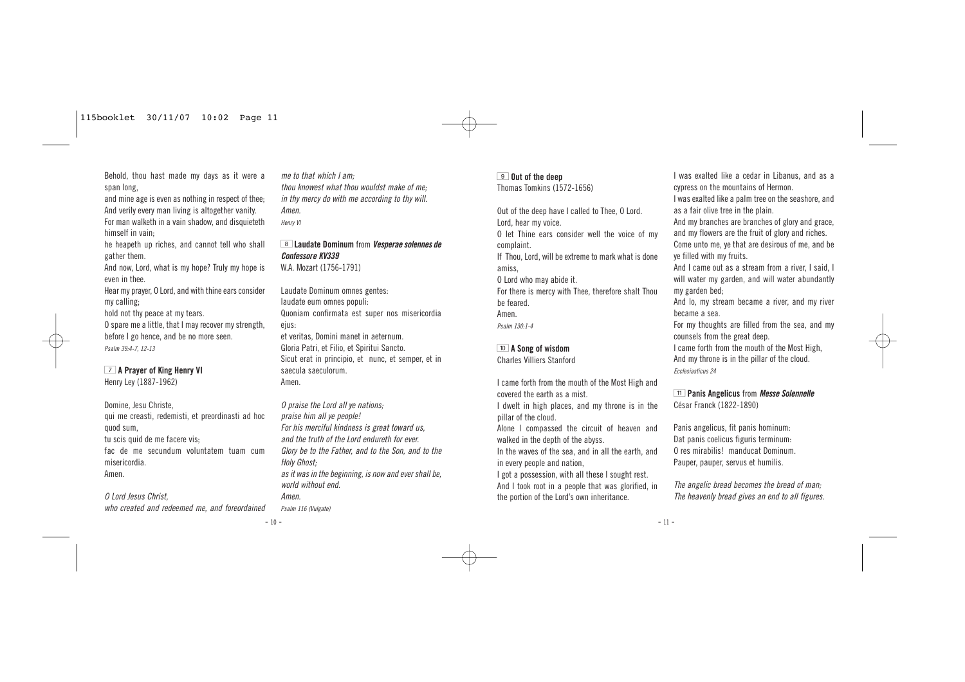Behold, thou hast made my days as it were a span long,

and mine age is even as nothing in respect of thee; And verily every man living is altogether vanity. For man walketh in a vain shadow, and disquieteth himself in vain;

he heapeth up riches, and cannot tell who shall gather them.

And now, Lord, what is my hope? Truly my hope is even in thee.

Hear my prayer, O Lord, and with thine ears consider my calling;

hold not thy peace at my tears.

O spare me a little, that I may recover my strength, before I go hence, and be no more seen. Psalm 39:4-7, 12-13

#### 7 **A Prayer of King Henry VI**

Henry Ley (1887-1962)

Domine, Jesu Christe, qui me creasti, redemisti, et preordinasti ad hoc quod sum, tu scis quid de me facere vis;

fac de me secundum voluntatem tuam cum misericordia. Amen.

O Lord Jesus Christ,

who created and redeemed me, and foreordained

me to that which I am; thou knowest what thou wouldst make of me; in thy mercy do with me according to thy will. Amen. Henry VI

8 **Laudate Dominum** from **Vesperae solennes de Confessore KV339** W.A. Mozart (1756-1791)

Laudate Dominum omnes gentes: laudate eum omnes populi: Quoniam confirmata est super nos misericordia ejus:

et veritas, Domini manet in aeternum. Gloria Patri, et Filio, et Spiritui Sancto. Sicut erat in principio, et nunc, et semper, et in saecula saeculorum. Amen.

O praise the Lord all ye nations; praise him all ye people! For his merciful kindness is great toward us, and the truth of the Lord endureth for ever. Glory be to the Father, and to the Son, and to the Holy Ghost; as it was in the beginning, is now and ever shall be, world without end. Amen.

Psalm 116 (Vulgate)

#### 9 **Out of the deep**

Thomas Tomkins (1572-1656)

Out of the deep have I called to Thee, O Lord. Lord, hear my voice.

O let Thine ears consider well the voice of my complaint.

If Thou, Lord, will be extreme to mark what is done amiss,

O Lord who may abide it.

For there is mercy with Thee, therefore shalt Thou be feared.

Amen.

Psalm 130:1-4

#### 0 **A Song of wisdom** Charles Villiers Stanford

I came forth from the mouth of the Most High and covered the earth as a mist.

I dwelt in high places, and my throne is in the pillar of the cloud.

Alone I compassed the circuit of heaven and walked in the depth of the abyss.

In the waves of the sea, and in all the earth, and in every people and nation,

I got a possession, with all these I sought rest. And I took root in a people that was glorified, in the portion of the Lord's own inheritance.

I was exalted like a cedar in Libanus, and as a cypress on the mountains of Hermon.

I was exalted like a palm tree on the seashore, and as a fair olive tree in the plain.

And my branches are branches of glory and grace, and my flowers are the fruit of glory and riches.

Come unto me, ye that are desirous of me, and be ye filled with my fruits.

And I came out as a stream from a river, I said, I will water my garden, and will water abundantly my garden bed;

And lo, my stream became a river, and my river became a sea.

For my thoughts are filled from the sea, and my counsels from the great deep.

I came forth from the mouth of the Most High, And my throne is in the pillar of the cloud.

Ecclesiasticus 24

**F11** Panis Angelicus from *Messe Solennelle* César Franck (1822-1890)

Panis angelicus, fit panis hominum: Dat panis coelicus figuris terminum: O res mirabilis! manducat Dominum. Pauper, pauper, servus et humilis.

The angelic bread becomes the bread of man; The heavenly bread gives an end to all figures.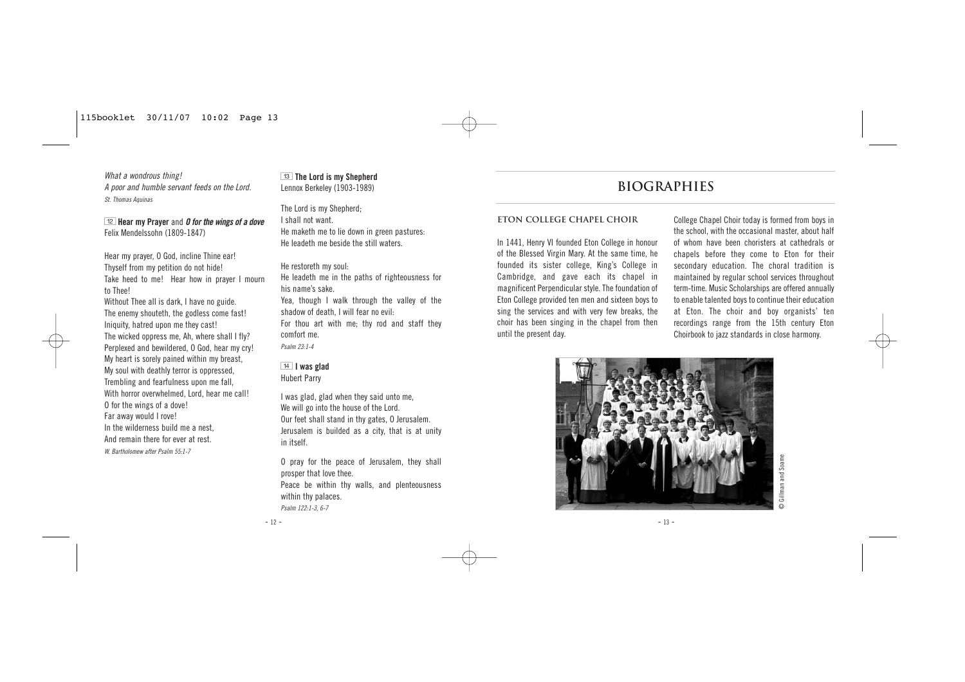What a wondrous thing! A poor and humble servant feeds on the Lord. St. Thomas Aquinas

**Hear my Prayer and 0 for the wings of a dove** Felix Mendelssohn (1809-1847)

Hear my prayer, O God, incline Thine ear! Thyself from my petition do not hide! Take heed to me! Hear how in prayer I mourn to Thee!

Without Thee all is dark, I have no guide. The enemy shouteth, the godless come fast! Iniquity, hatred upon me they cast! The wicked oppress me, Ah, where shall I fly? Perplexed and bewildered, O God, hear my cry! My heart is sorely pained within my breast, My soul with deathly terror is oppressed, Trembling and fearfulness upon me fall, With horror overwhelmed, Lord, hear me call! O for the wings of a dove! Far away would I rove! In the wilderness build me a nest And remain there for ever at rest. W. Bartholomew after Psalm 55:1-7

**T13** The Lord is my Shepherd Lennox Berkeley (1903-1989)

The Lord is my Shepherd; I shall not want. He maketh me to lie down in green pastures: He leadeth me beside the still waters.

He restoreth my soul:

He leadeth me in the paths of righteousness for his name's sake.

Yea, though I walk through the valley of the shadow of death, I will fear no evil: For thou art with me; thy rod and staff they comfort me.

Psalm 23:1-4

#### **T4 I was glad** Hubert Parry

I was glad, glad when they said unto me, We will go into the house of the Lord. Our feet shall stand in thy gates, O Jerusalem. Jerusalem is builded as a city, that is at unity in itself.

O pray for the peace of Jerusalem, they shall prosper that love thee. Peace be within thy walls, and plenteousness within thy palaces. Psalm 122:1-3, 6-7

## **BIOGRAPHIES**

#### **ETON COLLEGE CHAPEL CHOIR**

In 1441, Henry VI founded Eton College in honour of the Blessed Virgin Mary. At the same time, he founded its sister college, King's College in Cambridge, and gave each its chapel in magnificent Perpendicular style. The foundation of Eton College provided ten men and sixteen boys to sing the services and with very few breaks, the choir has been singing in the chapel from then until the present day.

College Chapel Choir today is formed from boys in the school, with the occasional master, about half of whom have been choristers at cathedrals or chapels before they come to Eton for their secondary education. The choral tradition is maintained by regular school services throughout term-time. Music Scholarships are offered annually to enable talented boys to continue their education at Eton. The choir and boy organists' ten recordings range from the 15th century Eton Choirbook to jazz standards in close harmony.



## © Gillman and Soame and Soame Gillman a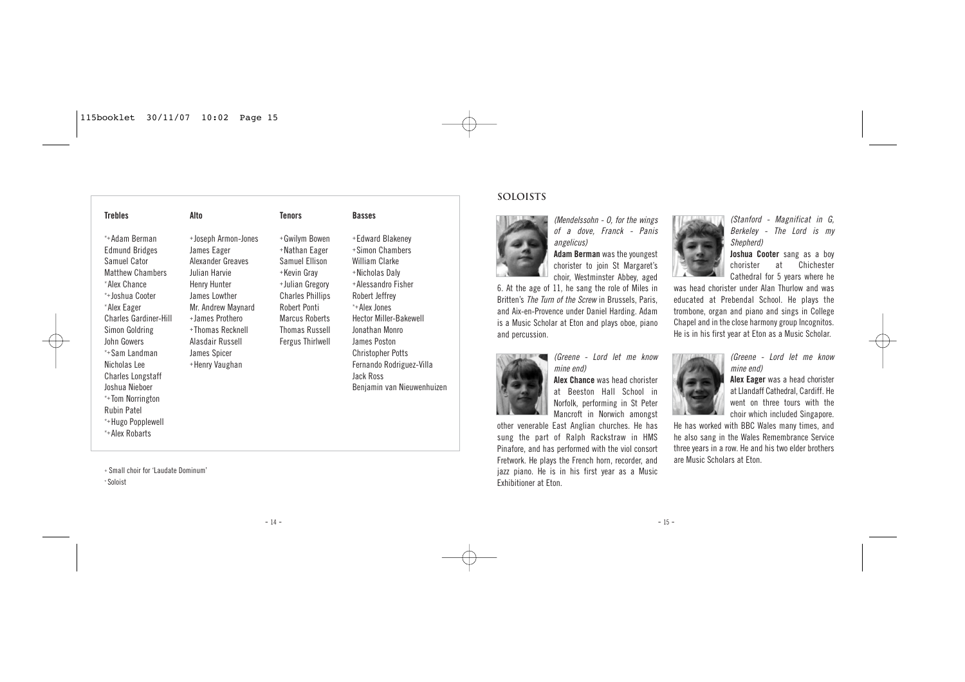| <b>Trebles</b>                                                                                                                                                                                                                                                                                                                                                       | Alto                                                                                                                                                                                                                         | <b>Tenors</b>                                                                                                                                                                                       | <b>Basses</b>                                                                                                                                                                                                                                                                                         |
|----------------------------------------------------------------------------------------------------------------------------------------------------------------------------------------------------------------------------------------------------------------------------------------------------------------------------------------------------------------------|------------------------------------------------------------------------------------------------------------------------------------------------------------------------------------------------------------------------------|-----------------------------------------------------------------------------------------------------------------------------------------------------------------------------------------------------|-------------------------------------------------------------------------------------------------------------------------------------------------------------------------------------------------------------------------------------------------------------------------------------------------------|
| *+Adam Berman<br><b>Edmund Bridges</b><br>Samuel Cator<br><b>Matthew Chambers</b><br>*Alex Chance<br>*+Joshua Cooter<br>*Alex Eager<br><b>Charles Gardiner-Hill</b><br>Simon Goldring<br>John Gowers<br>*+Sam Landman<br>Nicholas Lee<br><b>Charles Longstaff</b><br>Joshua Nieboer<br>*+Tom Norrington<br><b>Rubin Patel</b><br>*+Hugo Popplewell<br>*+Alex Robarts | +Joseph Armon-Jones<br>James Eager<br>Alexander Greaves<br>Julian Harvie<br>Henry Hunter<br>James Lowther<br>Mr. Andrew Maynard<br>+James Prothero<br>+Thomas Recknell<br>Alasdair Russell<br>James Spicer<br>+Henry Vaughan | +Gwilym Bowen<br>+Nathan Eager<br>Samuel Ellison<br>+Kevin Gray<br>+Julian Gregory<br><b>Charles Phillips</b><br>Robert Ponti<br>Marcus Roberts<br><b>Thomas Russell</b><br><b>Fergus Thirlwell</b> | +Edward Blakeney<br>+Simon Chambers<br>William Clarke<br>+Nicholas Daly<br>+Alessandro Fisher<br>Robert Jeffrey<br>*+Alex Jones<br><b>Hector Miller-Bakewell</b><br>Jonathan Monro<br>James Poston<br><b>Christopher Potts</b><br>Fernando Rodriguez-Villa<br>Jack Ross<br>Benjamin van Nieuwenhuizen |

<sup>+</sup> Small choir for 'Laudate Dominum'

\* Soloist

#### **Soloists**



(Mendelssohn - O, for the wings of a dove, Franck - Panis angelicus)

**Adam Berman** was the youngest chorister to join St Margaret's choir, Westminster Abbey, aged

6. At the age of 11, he sang the role of Miles in Britten's The Turn of the Screw in Brussels, Paris, and Aix-en-Provence under Daniel Harding. Adam is a Music Scholar at Eton and plays oboe, piano and percussion.



(Greene - Lord let me know mine end)

**Alex Chance** was head chorister at Beeston Hall School in Norfolk, performing in St Peter Mancroft in Norwich amongst

other venerable East Anglian churches. He has sung the part of Ralph Rackstraw in HMS Pinafore, and has performed with the viol consort Fretwork. He plays the French horn, recorder, and jazz piano. He is in his first year as a Music Exhibitioner at Eton.



(Stanford - Magnificat in G, Berkeley - The Lord is my Shepherd)

**Joshua Cooter** sang as a boy chorister at Chichester Cathedral for 5 years where he

was head chorister under Alan Thurlow and was educated at Prebendal School. He plays the trombone, organ and piano and sings in College Chapel and in the close harmony group Incognitos. He is in his first year at Eton as a Music Scholar.

(Greene - Lord let me know



mine end) **Alex Eager** was a head chorister at Llandaff Cathedral, Cardiff. He went on three tours with the

choir which included Singapore. He has worked with BBC Wales many times, and he also sang in the Wales Remembrance Service three years in a row. He and his two elder brothers are Music Scholars at Eton.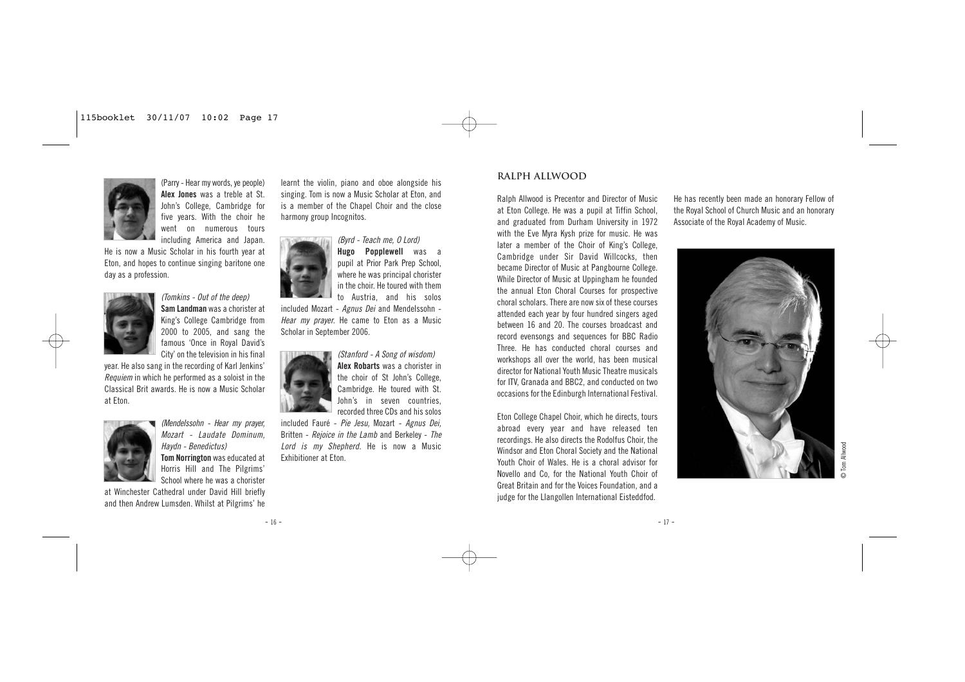

(Parry - Hear my words, ye people) **Alex Jones** was a treble at St. John's College, Cambridge for five years. With the choir he went on numerous tours including America and Japan.

He is now a Music Scholar in his fourth year at Eton, and hopes to continue singing baritone one day as a profession.



(Tomkins - Out of the deep) **Sam Landman** was a chorister at King's College Cambridge from 2000 to 2005, and sang the famous 'Once in Royal David's City' on the television in his final

year. He also sang in the recording of Karl Jenkins' Requiem in which he performed as a soloist in the Classical Brit awards. He is now a Music Scholar at Eton.



(Mendelssohn - Hear my prayer, Mozart - Laudate Dominum, Haydn - Benedictus) **Tom Norrington** was educated at Horris Hill and The Pilgrims' School where he was a chorister

at Winchester Cathedral under David Hill briefly and then Andrew Lumsden. Whilst at Pilgrims' he

learnt the violin, piano and oboe alongside his singing. Tom is now a Music Scholar at Eton, and is a member of the Chapel Choir and the close harmony group Incognitos.



**Hugo Popplewell** was a pupil at Prior Park Prep School, where he was principal chorister in the choir. He toured with them to Austria, and his solos

included Mozart - Agnus Dei and Mendelssohn - Hear my prayer. He came to Eton as a Music Scholar in September 2006.

> (Stanford - A Song of wisdom) **Alex Robarts** was a chorister in the choir of St John's College, Cambridge. He toured with St. John's in seven countries, recorded three CDs and his solos

included Fauré - Pie Jesu, Mozart - Agnus Dei, Britten - Rejoice in the Lamb and Berkeley - The Lord is my Shepherd. He is now a Music Exhibitioner at Eton.

#### **RALPH ALLWOOD**

Ralph Allwood is Precentor and Director of Music at Eton College. He was a pupil at Tiffin School, and graduated from Durham University in 1972 with the Eve Myra Kysh prize for music. He was later a member of the Choir of King's College, Cambridge under Sir David Willcocks, then became Director of Music at Pangbourne College. While Director of Music at Uppingham he founded the annual Eton Choral Courses for prospective choral scholars. There are now six of these courses attended each year by four hundred singers aged between 16 and 20. The courses broadcast and record evensongs and sequences for BBC Radio Three. He has conducted choral courses and workshops all over the world, has been musical director for National Youth Music Theatre musicals for ITV, Granada and BBC2, and conducted on two occasions for the Edinburgh International Festival.

Eton College Chapel Choir, which he directs, tours abroad every year and have released ten recordings. He also directs the Rodolfus Choir, the Windsor and Eton Choral Society and the National Youth Choir of Wales. He is a choral advisor for Novello and Co, for the National Youth Choir of Great Britain and for the Voices Foundation, and a judge for the Llangollen International Eisteddfod.

He has recently been made an honorary Fellow of the Royal School of Church Music and an honorary Associate of the Royal Academy of Music.